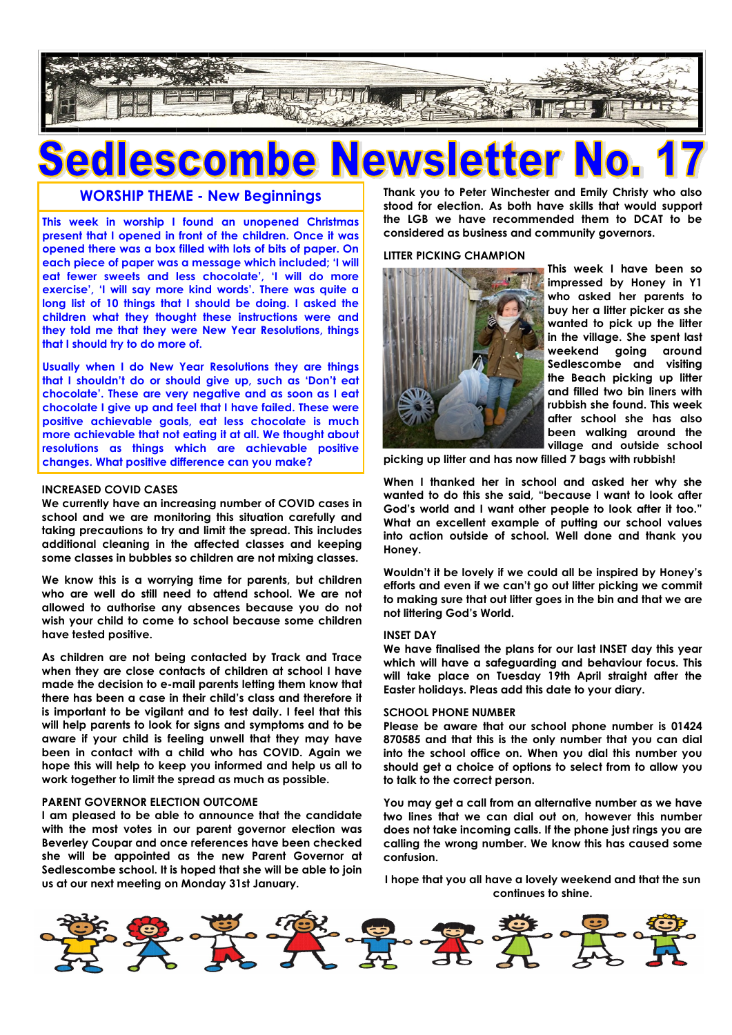

# **escol**

#### **WORSHIP THEME - New Beginnings**

**This week in worship I found an unopened Christmas present that I opened in front of the children. Once it was opened there was a box filled with lots of bits of paper. On each piece of paper was a message which included; 'I will eat fewer sweets and less chocolate', 'I will do more exercise', 'I will say more kind words'. There was quite a long list of 10 things that I should be doing. I asked the children what they thought these instructions were and they told me that they were New Year Resolutions, things that I should try to do more of.**

**Usually when I do New Year Resolutions they are things that I shouldn't do or should give up, such as 'Don't eat chocolate'. These are very negative and as soon as I eat chocolate I give up and feel that I have failed. These were positive achievable goals, eat less chocolate is much more achievable that not eating it at all. We thought about resolutions as things which are achievable positive changes. What positive difference can you make?**

#### **INCREASED COVID CASES**

**We currently have an increasing number of COVID cases in school and we are monitoring this situation carefully and taking precautions to try and limit the spread. This includes additional cleaning in the affected classes and keeping some classes in bubbles so children are not mixing classes.**

**We know this is a worrying time for parents, but children who are well do still need to attend school. We are not allowed to authorise any absences because you do not wish your child to come to school because some children have tested positive.**

**As children are not being contacted by Track and Trace when they are close contacts of children at school I have made the decision to e-mail parents letting them know that there has been a case in their child's class and therefore it is important to be vigilant and to test daily. I feel that this will help parents to look for signs and symptoms and to be aware if your child is feeling unwell that they may have been in contact with a child who has COVID. Again we hope this will help to keep you informed and help us all to work together to limit the spread as much as possible.**

#### **PARENT GOVERNOR ELECTION OUTCOME**

**I am pleased to be able to announce that the candidate with the most votes in our parent governor election was Beverley Coupar and once references have been checked she will be appointed as the new Parent Governor at Sedlescombe school. It is hoped that she will be able to join us at our next meeting on Monday 31st January.**

**Thank you to Peter Winchester and Emily Christy who also stood for election. As both have skills that would support the LGB we have recommended them to DCAT to be considered as business and community governors.**

#### **LITTER PICKING CHAMPION**



**This week I have been so impressed by Honey in Y1 who asked her parents to buy her a litter picker as she wanted to pick up the litter in the village. She spent last weekend going around Sedlescombe and visiting the Beach picking up litter and filled two bin liners with rubbish she found. This week after school she has also been walking around the village and outside school** 

**picking up litter and has now filled 7 bags with rubbish!**

**When I thanked her in school and asked her why she wanted to do this she said, "because I want to look after God's world and I want other people to look after it too." What an excellent example of putting our school values into action outside of school. Well done and thank you Honey.**

**Wouldn't it be lovely if we could all be inspired by Honey's efforts and even if we can't go out litter picking we commit to making sure that out litter goes in the bin and that we are not littering God's World.**

#### **INSET DAY**

**We have finalised the plans for our last INSET day this year which will have a safeguarding and behaviour focus. This will take place on Tuesday 19th April straight after the Easter holidays. Pleas add this date to your diary.** 

#### **SCHOOL PHONE NUMBER**

**Please be aware that our school phone number is 01424 870585 and that this is the only number that you can dial into the school office on. When you dial this number you should get a choice of options to select from to allow you to talk to the correct person.**

**You may get a call from an alternative number as we have two lines that we can dial out on, however this number does not take incoming calls. If the phone just rings you are calling the wrong number. We know this has caused some confusion.**

**I hope that you all have a lovely weekend and that the sun continues to shine.**